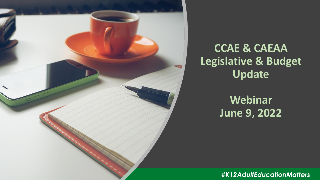

### **CCAE & CAEAA Legislative & Budget Update**

### **Webinar June 9, 2022**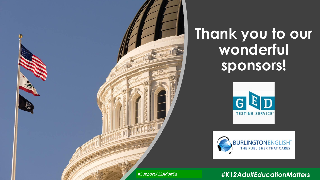

# **Thank you to our wonderful sponsors!**



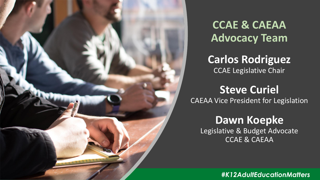

**CCAE & CAEAA Advocacy Team**

**Carlos Rodriguez** CCAE Legislative Chair

#### **Steve Curiel** CAEAA Vice President for Legislation

**Dawn Koepke** Legislative & Budget Advocate CCAE & CAEAA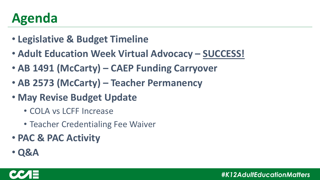### **Agenda**

- **Legislative & Budget Timeline**
- **Adult Education Week Virtual Advocacy – SUCCESS!**
- **AB 1491 (McCarty) – CAEP Funding Carryover**
- **AB 2573 (McCarty) – Teacher Permanency**
- **May Revise Budget Update**
	- COLA vs LCFF Increase
	- Teacher Credentialing Fee Waiver
- **PAC & PAC Activity**
- **Q&A**

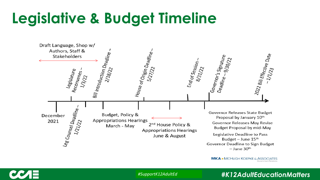# **Legislative & Budget Timeline**

| Draft Language, Shop w/<br>Authors, Staff &<br>Stakeholders                 |                                                                   |                                                                                   |                             |                                                                                                                                                                           |                                                                   |
|-----------------------------------------------------------------------------|-------------------------------------------------------------------|-----------------------------------------------------------------------------------|-----------------------------|---------------------------------------------------------------------------------------------------------------------------------------------------------------------------|-------------------------------------------------------------------|
| Legislature<br>Reconvenes<br>1/3/2                                          | <b>Bill Introduction Deadline</b><br>2/18/22                      | House of Origin Deadline<br>5/27/22                                               | End of Session .<br>8/31/22 | Governor's Signature<br>Deadline - 9/30/22                                                                                                                                | 2022 Bill Effective Date<br>1/1/23                                |
| Leg Co <sub>unsel</sub> D <sub>eadline</sub><br>December<br>2021<br>1/21/22 | Budget, Policy &<br><b>Appropriations Hearings</b><br>March - May | 2 <sup>nd</sup> House Policy &<br><b>Appropriations Hearings</b><br>June & August |                             | Governor Releases State Budget<br>Proposal by January 10th<br>Legislative Deadline to Pass<br>Budget – June $15th$<br>Governor Deadline to Sign Budget<br>$-$ June $30th$ | Governor Releases May Revise<br><b>Budget Proposal by mid-May</b> |

**MKA** ★ MCHUGH KOEPKE & ASSOCIATES Government Relations



*#SupportK12AdultEd*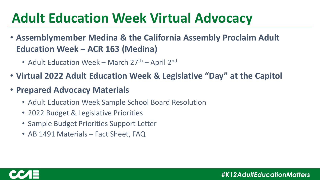# **Adult Education Week Virtual Advocacy**

- **Assemblymember Medina & the California Assembly Proclaim Adult Education Week – ACR 163 (Medina)**
	- Adult Education Week March 27<sup>th</sup> April 2<sup>nd</sup>
- **Virtual 2022 Adult Education Week & Legislative "Day" at the Capitol**
- **Prepared Advocacy Materials**
	- Adult Education Week Sample School Board Resolution
	- 2022 Budget & Legislative Priorities
	- Sample Budget Priorities Support Letter
	- AB 1491 Materials Fact Sheet, FAQ

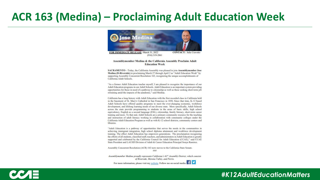#### **ACR 163 (Medina) – Proclaiming Adult Education Week**



 $(916)$  319-2061

#### Assemblymember Medina & the California Assembly Proclaim Adult **Education Week**

SACRAMENTO-Today, the California Assembly was pleased to join Assemblymember Jose Medina (D-Riverside) in proclaiming March 27 through April 2 as "Adult Education Week" by supporting Assembly Concurrent Resolution 163, recognizing the unique accomplishments of California Adult Schools.

"As a former Adult Education teacher myself, I am pleased to recognize the importance of our Adult Education programs in our Adult Schools. Adult Education is an important system providing opportunities for those in need of a pathway to citizenship as well as those seeking short-term job retraining amid the impacts of the pandemic." said Medina.

California has a long history with Adult Education with the first recorded class in California held in the basement of St. Mary's Cathedral in San Francisco in 1856. Since that time, K-12 based Adult Schools have offered quality programs to meet the ever-changing economic, workforce development, and lifelong learning needs of our diverse state. More specifically, Adult Schools across the state provide programming to students in the areas of basic skills, high school equivalency, English as a second language (ESL), citizenship, family literacy, short-term career training and more. To that end, Adult Schools are a primary community resource for the teaching and instruction of adult literacy working in collaboration with community colleges under the California Adult Education Program as well as with K-12 school districts, community centers and libraries.

"Adult Education is a pathway of opportunities that serves the needs in the communities in achieving immigrant integration, high school diploma attainment and workforce development training. The effect Adult Education has empowers generations. The proclamation recognizing the efforts of all students, classified staff, teachers, and administrators in Adult Education is greatly supported and celebrated by the California Council for Adult Education (CCAE)," said CCAE State President and LAUSD Division of Adult & Career Education Principal Sonya Ramirez.

Assembly Concurrent Resolution (ACR) 163 now moves to the California State Senate.

Assemblymember Medina proudly represents California's 61st Assembly District, which consists of Riverside, Moreno Valley, and Perris.

For more information, please visit my website. Follow me on social media:  $f \circ$ 

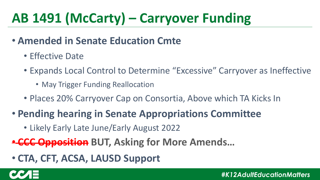# **AB 1491 (McCarty) – Carryover Funding**

#### • **Amended in Senate Education Cmte**

- Effective Date
- Expands Local Control to Determine "Excessive" Carryover as Ineffective
	- May Trigger Funding Reallocation
- Places 20% Carryover Cap on Consortia, Above which TA Kicks In

#### • **Pending hearing in Senate Appropriations Committee**

• Likely Early Late June/Early August 2022

• **CCC Opposition BUT, Asking for More Amends…**

### • **CTA, CFT, ACSA, LAUSD Support**

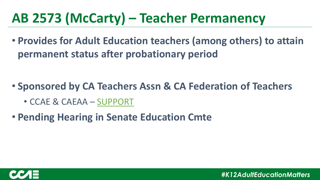### **AB 2573 (McCarty) – Teacher Permanency**

• **Provides for Adult Education teachers (among others) to attain permanent status after probationary period**

- **Sponsored by CA Teachers Assn & CA Federation of Teachers**
	- CCAE & CAEAA SUPPORT
- **Pending Hearing in Senate Education Cmte**

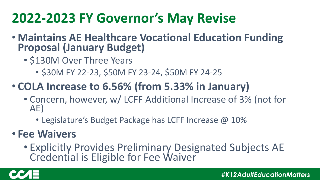### **2022-2023 FY Governor's May Revise**

- **Maintains AE Healthcare Vocational Education Funding Proposal (January Budget)**
	- \$130M Over Three Years
		- \$30M FY 22-23, \$50M FY 23-24, \$50M FY 24-25

### • **COLA Increase to 6.56% (from 5.33% in January)**

- Concern, however, w/ LCFF Additional Increase of 3% (not for AE)
	- Legislature's Budget Package has LCFF Increase @ 10%

#### • **Fee Waivers**

• Explicitly Provides Preliminary Designated Subjects AE Credential is Eligible for Fee Waiver

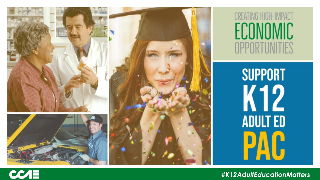

**CREATING HIGH-IMPACT** ECONOMIC OPPORTUNITIES

> **SUPPORT** K12 **ADULT ED** PAU

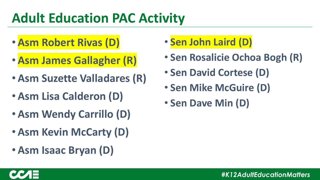### **Adult Education PAC Activity**

- **Asm Robert Rivas (D)**
- **Asm James Gallagher (R)**
- **Asm Suzette Valladares (R)**
- **Asm Lisa Calderon (D)**
- **Asm Wendy Carrillo (D)**
- **Asm Kevin McCarty (D)**
- **Asm Isaac Bryan (D)**

### • **Sen John Laird (D)**

- **Sen Rosalicie Ochoa Bogh (R)**
- **Sen David Cortese (D)**
- **Sen Mike McGuire (D)**
- **Sen Dave Min (D)**